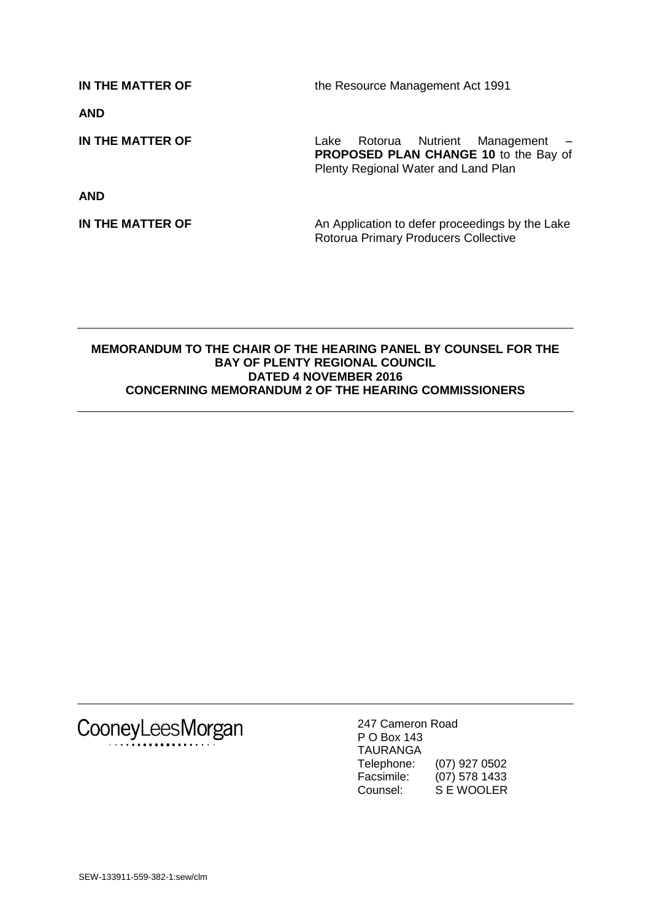**IN THE MATTER OF** the Resource Management Act 1991 **AND IN THE MATTER OF** Lake Rotorua Nutrient Management – **PROPOSED PLAN CHANGE 10** to the Bay of Plenty Regional Water and Land Plan **AND IN THE MATTER OF** An Application to defer proceedings by the Lake Rotorua Primary Producers Collective

#### **MEMORANDUM TO THE CHAIR OF THE HEARING PANEL BY COUNSEL FOR THE BAY OF PLENTY REGIONAL COUNCIL DATED 4 NOVEMBER 2016 CONCERNING MEMORANDUM 2 OF THE HEARING COMMISSIONERS**

CooneyLeesMorgan

247 Cameron Road P O Box 143 TAURANGA Telephone: (07) 927 0502 Facsimile: (07) 578 1433 Counsel: S E WOOLER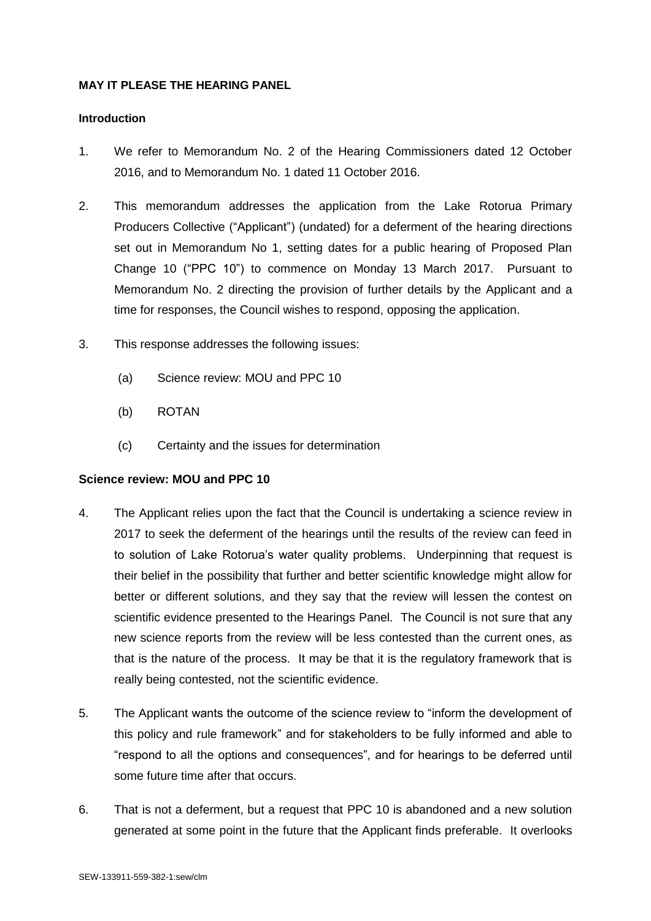### **MAY IT PLEASE THE HEARING PANEL**

#### **Introduction**

- 1. We refer to Memorandum No. 2 of the Hearing Commissioners dated 12 October 2016, and to Memorandum No. 1 dated 11 October 2016.
- 2. This memorandum addresses the application from the Lake Rotorua Primary Producers Collective ("Applicant") (undated) for a deferment of the hearing directions set out in Memorandum No 1, setting dates for a public hearing of Proposed Plan Change 10 ("PPC 10") to commence on Monday 13 March 2017. Pursuant to Memorandum No. 2 directing the provision of further details by the Applicant and a time for responses, the Council wishes to respond, opposing the application.
- 3. This response addresses the following issues:
	- (a) Science review: MOU and PPC 10
	- (b) ROTAN
	- (c) Certainty and the issues for determination

## **Science review: MOU and PPC 10**

- 4. The Applicant relies upon the fact that the Council is undertaking a science review in 2017 to seek the deferment of the hearings until the results of the review can feed in to solution of Lake Rotorua's water quality problems. Underpinning that request is their belief in the possibility that further and better scientific knowledge might allow for better or different solutions, and they say that the review will lessen the contest on scientific evidence presented to the Hearings Panel. The Council is not sure that any new science reports from the review will be less contested than the current ones, as that is the nature of the process. It may be that it is the regulatory framework that is really being contested, not the scientific evidence.
- 5. The Applicant wants the outcome of the science review to "inform the development of this policy and rule framework" and for stakeholders to be fully informed and able to "respond to all the options and consequences", and for hearings to be deferred until some future time after that occurs.
- 6. That is not a deferment, but a request that PPC 10 is abandoned and a new solution generated at some point in the future that the Applicant finds preferable. It overlooks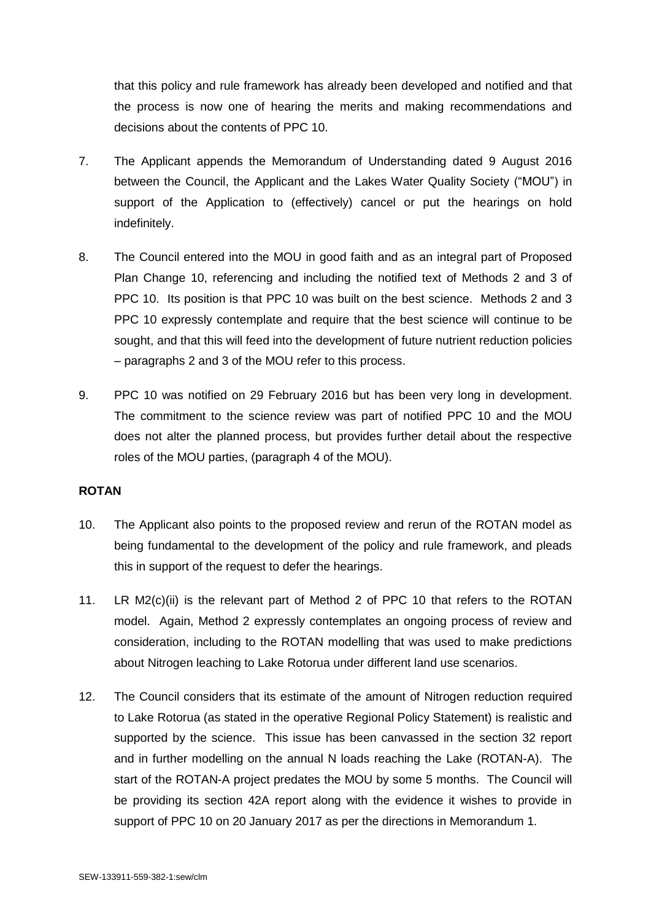that this policy and rule framework has already been developed and notified and that the process is now one of hearing the merits and making recommendations and decisions about the contents of PPC 10.

- 7. The Applicant appends the Memorandum of Understanding dated 9 August 2016 between the Council, the Applicant and the Lakes Water Quality Society ("MOU") in support of the Application to (effectively) cancel or put the hearings on hold indefinitely.
- 8. The Council entered into the MOU in good faith and as an integral part of Proposed Plan Change 10, referencing and including the notified text of Methods 2 and 3 of PPC 10. Its position is that PPC 10 was built on the best science. Methods 2 and 3 PPC 10 expressly contemplate and require that the best science will continue to be sought, and that this will feed into the development of future nutrient reduction policies – paragraphs 2 and 3 of the MOU refer to this process.
- 9. PPC 10 was notified on 29 February 2016 but has been very long in development. The commitment to the science review was part of notified PPC 10 and the MOU does not alter the planned process, but provides further detail about the respective roles of the MOU parties, (paragraph 4 of the MOU).

## **ROTAN**

- 10. The Applicant also points to the proposed review and rerun of the ROTAN model as being fundamental to the development of the policy and rule framework, and pleads this in support of the request to defer the hearings.
- 11. LR M2(c)(ii) is the relevant part of Method 2 of PPC 10 that refers to the ROTAN model. Again, Method 2 expressly contemplates an ongoing process of review and consideration, including to the ROTAN modelling that was used to make predictions about Nitrogen leaching to Lake Rotorua under different land use scenarios.
- 12. The Council considers that its estimate of the amount of Nitrogen reduction required to Lake Rotorua (as stated in the operative Regional Policy Statement) is realistic and supported by the science. This issue has been canvassed in the section 32 report and in further modelling on the annual N loads reaching the Lake (ROTAN-A). The start of the ROTAN-A project predates the MOU by some 5 months. The Council will be providing its section 42A report along with the evidence it wishes to provide in support of PPC 10 on 20 January 2017 as per the directions in Memorandum 1.